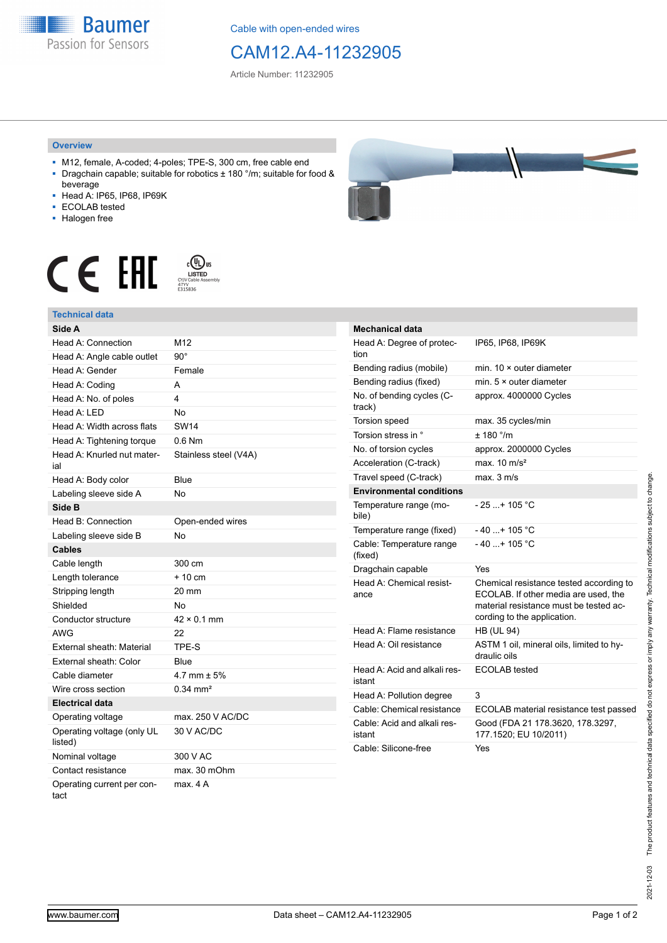**Baumer** Passion for Sensors

Cable with open-ended wires

## CAM12.A4-11232905

Article Number: 11232905

## **Overview**

- M12, female, A-coded; 4-poles; TPE-S, 300 cm, free cable end ■ Dragchain capable; suitable for robotics ± 180 °/m; suitable for food &
- beverage ■ Head A: IP65, IP68, IP69K
- ECOLAB tested
- 
- Halogen free

## $c$  (U<sub>L</sub>) us<br>
CYJV Cable Assem CE EHI





| <b>Mechanical data</b>                 |                                                                                                                                                          |
|----------------------------------------|----------------------------------------------------------------------------------------------------------------------------------------------------------|
| Head A: Degree of protec-<br>tion      | IP65, IP68, IP69K                                                                                                                                        |
| Bending radius (mobile)                | min. $10 \times$ outer diameter                                                                                                                          |
| Bending radius (fixed)                 | min. $5 \times$ outer diameter                                                                                                                           |
| No. of bending cycles (C-<br>track)    | approx. 4000000 Cycles                                                                                                                                   |
| Torsion speed                          | max. 35 cycles/min                                                                                                                                       |
| Torsion stress in °                    | ± 180 °/m                                                                                                                                                |
| No. of torsion cycles                  | approx. 2000000 Cycles                                                                                                                                   |
| Acceleration (C-track)                 | max. $10 \text{ m/s}^2$                                                                                                                                  |
| Travel speed (C-track)                 | $max$ 3 m/s                                                                                                                                              |
| <b>Environmental conditions</b>        |                                                                                                                                                          |
| Temperature range (mo-<br>bile)        | $-25+105 °C$                                                                                                                                             |
| Temperature range (fixed)              | $-40+105 °C$                                                                                                                                             |
| Cable: Temperature range<br>(fixed)    | $-40$ + 105 °C                                                                                                                                           |
| Dragchain capable                      | Yes                                                                                                                                                      |
| Head A: Chemical resist-<br>ance       | Chemical resistance tested according to<br>ECOLAB. If other media are used, the<br>material resistance must be tested ac-<br>cording to the application. |
| Head A: Flame resistance               | <b>HB (UL 94)</b>                                                                                                                                        |
| Head A: Oil resistance                 | ASTM 1 oil, mineral oils, limited to hy-<br>draulic oils                                                                                                 |
| Head A: Acid and alkali res-<br>istant | ECOLAB tested                                                                                                                                            |
| Head A: Pollution degree               | 3                                                                                                                                                        |
| Cable: Chemical resistance             | ECOLAB material resistance test passed                                                                                                                   |
| Cable: Acid and alkali res-<br>istant  | Good (FDA 21 178.3620, 178.3297,<br>177.1520; EU 10/2011)                                                                                                |
| Cable: Silicone-free                   | Yes                                                                                                                                                      |